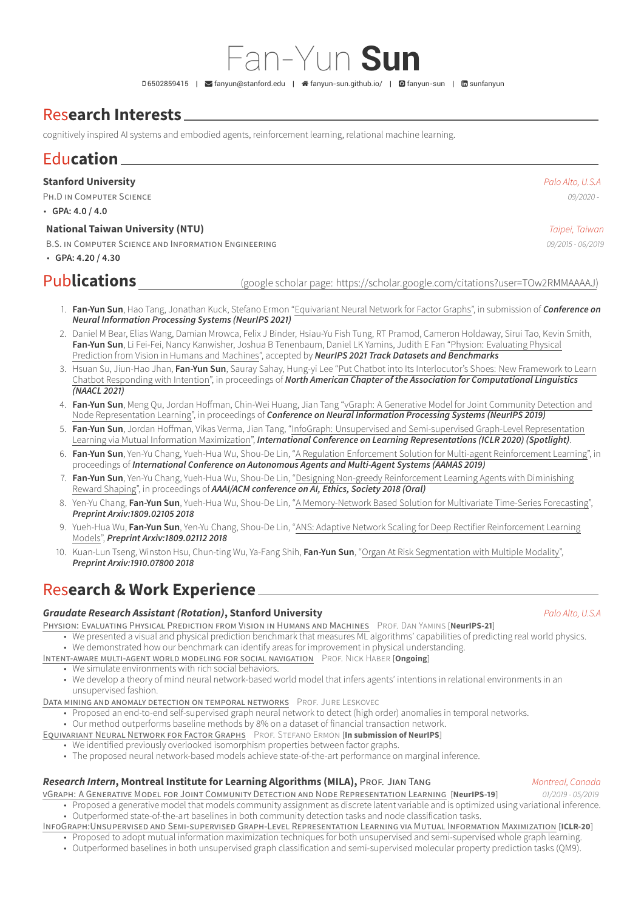# Res**earch Interests**

cognitively inspired AI systems and embodied agents, reinforcement learning, relational machine learning.

# Edu**cation**

**Stanford University** *Palo Alto, U.S.A*

PH.D IN COMPUTER SCIENCE *09/2020 -*

• **GPA: 4.0 / 4.0**

## **National Taiwan University (NTU)** *Taipei, Taiwan*

B.S. IN COMPUTER SCIENCE AND INFORMATION ENGINEERING *09/2015 - 06/2019*

• **GPA: 4.20 / 4.30**

Pub**lications** (google scholar page: [https://scholar.google.com/citations?user=TOw2RMMAAAAJ\)](https://scholar.google.com/citations?user=TOw2RMMAAAAJ)

- 1. **Fan-Yun Sun**, Hao Tang, Jonathan Kuck, Stefano Ermon "Equivariant Neural Network for Factor Graphs", in submission of *Conference on Neural Information Processing Systems (NeurIPS 2021)*
- 2. Daniel M Bear, Elias Wang, Damian Mrowca, Felix J Binder, Hsiau-Yu Fish Tung, RT Pramod, Cameron Holdaway, Sirui Tao, Kevin Smith, **Fan-Yun Sun**, Li Fei-Fei, Nancy Kanwisher, Joshua B Tenenbaum, Daniel LK Yamins, Judith E Fan "Physion: [Evaluating](https://arxiv.org/abs/2106.08261) Physical [Prediction](https://arxiv.org/abs/2106.08261) from Vision in Humans and Machines", accepted by *NeurIPS 2021 Track Datasets and Benchmarks*
- 3. Hsuan Su, Jiun-Hao Jhan, **Fan-Yun Sun**, Sauray Sahay, Hung-yi Lee "Put Chatbot into Its [Interlocutor's](https://arxiv.org/abs/2103.16429) Shoes: New Framework to Learn Chatbot [Responding](https://arxiv.org/abs/2103.16429) with Intention", in proceedings of *North American Chapter of the Association for Computational Linguistics (NAACL 2021)*
- 4. **Fan-Yun Sun**, Meng Qu, Jordan Hoffman, Chin-Wei Huang, Jian Tang "vGraph: A Generative Model for Joint [Community](https://arxiv.org/abs/1906.07159) Detection and Node [Representation](https://arxiv.org/abs/1906.07159) Learning", in proceedings of *Conference on Neural Information Processing Systems (NeurIPS 2019)*
- 5. **Fan-Yun Sun**, Jordan Hoffman, Vikas Verma, Jian Tang, "InfoGraph: Unsupervised and [Semi-supervised](https://arxiv.org/abs/1908.01000) Graph-Level Representation Learning via Mutual Information [Maximization"](https://arxiv.org/abs/1908.01000), *International Conference on Learning Representations (ICLR 2020) (Spotlight)*.
- 6. **Fan-Yun Sun**, Yen-Yu Chang, Yueh-Hua Wu, Shou-De Lin, "A Regulation Enforcement Solution for Multi-agent [Reinforcement](https://arxiv.org/abs/1901.10059) Learning", in proceedings of *International Conference on Autonomous Agents and Multi-Agent Systems (AAMAS 2019)*
- 7. **Fan-Yun Sun**, Yen-Yu Chang, Yueh-Hua Wu, Shou-De Lin, "Designing Non-greedy [Reinforcement](http://www.aies-conference.com/2018/contents/papers/main/AIES_2018_paper_97.pdf) Learning Agents with Diminishing Reward [Shaping"](http://www.aies-conference.com/2018/contents/papers/main/AIES_2018_paper_97.pdf), in proceedings of *AAAI/ACM conference on AI, Ethics, Society 2018 (Oral)*
- 8. Yen-Yu Chang, **Fan-Yun Sun**, Yueh-Hua Wu, Shou-De Lin, "A [Memory-Network](https://arxiv.org/abs/1809.02105) Based Solution for Multivariate Time-Series Forecasting", *Preprint Arxiv:1809.02105 2018*
- 9. Yueh-Hua Wu, **Fan-Yun Sun**, Yen-Yu Chang, Shou-De Lin, "ANS: Adaptive Network Scaling for Deep Rectifier [Reinforcement](https://arxiv.org/abs/1809.02112) Learning [Models](https://arxiv.org/abs/1809.02112)", *Preprint Arxiv:1809.02112 2018*
- 10. Kuan-Lun Tseng, Winston Hsu, Chun-ting Wu, Ya-Fang Shih, **Fan-Yun Sun**, "Organ At Risk [Segmentation](https://arxiv.org/abs/1910.07800) with Multiple Modality", *Preprint Arxiv:1910.07800 2018*

# Res**earch & Work Experience**

## *Graudate Research Assistant (Rotation)***, Stanford University** *Palo Alto, U.S.A*

PHYSION: EVALUATING PHYSICAL PREDICTION FROM VISION IN HUMANS AND MACHINES PROF. DAN YAMINS [NeurIPS-21]

- We presented a visual and physical prediction benchmark that measures ML algorithms' capabilities of predicting real world physics. • We demonstrated how our benchmark can identify areas for improvement in physical understanding.
- INTENT-AWARE MULTI-AGENT WORLD MODELING FOR SOCIAL NAVIGATION PROF. NICK HABER [**Ongoing**]
	- We simulate environments with rich social behaviors.
	- We develop a theory of mind neural network-based world model that infers agents' intentions in relational environments in an unsupervised fashion.
- DATA MINING AND ANOMALY DETECTION ON TEMPORAL NETWORKS PROF. JURE LESKOVEC
	- Proposed an end-to-end self-supervised graph neural network to detect (high order) anomalies in temporal networks.
	- Our method outperforms baseline methods by 8% on a dataset of financial transaction network.
- EQUIVARIANT NEURAL NETWORK FOR FACTOR GRAPHS PROF. STEFANO ERMON [**In submission of NeurIPS**]
	- We identified previously overlooked isomorphism properties between factor graphs.
	- The proposed neural network-based models achieve state-of-the-art performance on marginal inference.

# *Research Intern***, Montreal Institute for Learning Algorithms (MILA),** PROF. JIAN TANG *Montreal, Canada*

- VGRAPH: A GENERATIVE MODEL FOR JOINT COMMUNITY DETECTION AND NODE REPRESENTATION LEARNING [**NeurIPS-19**] *01/2019 05/2019*
	- Proposed a generative model that models community assignment as discrete latent variable and is optimized using variational inference. • Outperformed state-of-the-art baselines in both community detection tasks and node classification tasks.
- INFOGRAPH:UNSUPERVISED AND SEMI-SUPERVISED GRAPH-LEVEL REPRESENTATION LEARNING VIA MUTUAL INFORMATION MAXIMIZATION [**ICLR-20**]
	- Proposed to adopt mutual information maximization techniques for both unsupervised and semi-supervised whole graph learning.
	- Outperformed baselines in both unsupervised graph classification and semi-supervised molecular property prediction tasks (QM9).

Fan-Yun **Sun**

D6502859415 | **≤** [fanyun@stanford.edu](mailto:fanyun@stanford.edu) | 省 [fanyun-sun.github.io/](http://fanyun-sun.github.io/) | **Q** [fanyun-sun](https://github.com/fanyun-sun) | 因 [sunfanyun](https://www.linkedin.com/in/sunfanyun)